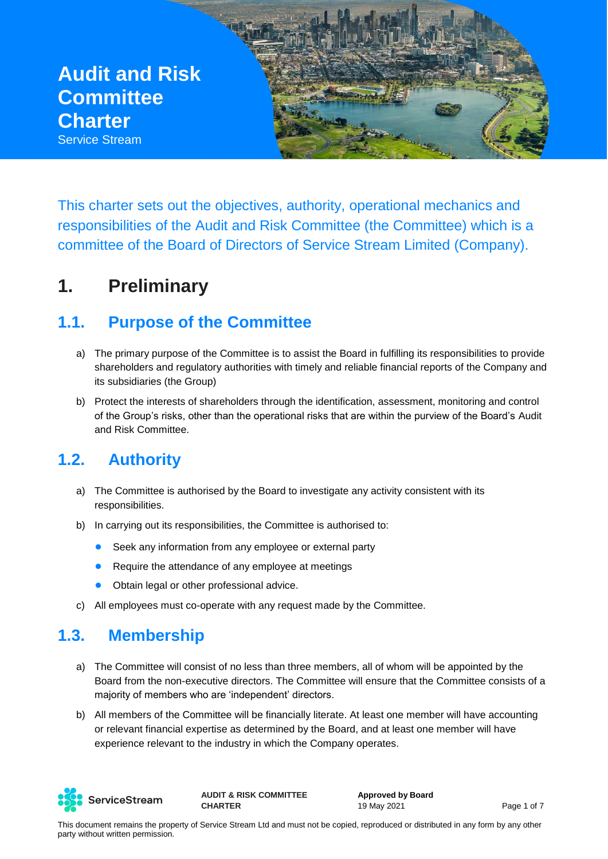**Audit and Risk Committee Charter** Service Stream

This charter sets out the objectives, authority, operational mechanics and responsibilities of the Audit and Risk Committee (the Committee) which is a committee of the Board of Directors of Service Stream Limited (Company).

# **1. Preliminary**

### **1.1. Purpose of the Committee**

- a) The primary purpose of the Committee is to assist the Board in fulfilling its responsibilities to provide shareholders and regulatory authorities with timely and reliable financial reports of the Company and its subsidiaries (the Group)
- b) Protect the interests of shareholders through the identification, assessment, monitoring and control of the Group's risks, other than the operational risks that are within the purview of the Board's Audit and Risk Committee.

## **1.2. Authority**

- a) The Committee is authorised by the Board to investigate any activity consistent with its responsibilities.
- b) In carrying out its responsibilities, the Committee is authorised to:
	- Seek any information from any employee or external party
	- Require the attendance of any employee at meetings
	- Obtain legal or other professional advice.
- c) All employees must co-operate with any request made by the Committee.

### **1.3. Membership**

- a) The Committee will consist of no less than three members, all of whom will be appointed by the Board from the non-executive directors. The Committee will ensure that the Committee consists of a majority of members who are 'independent' directors.
- b) All members of the Committee will be financially literate. At least one member will have accounting or relevant financial expertise as determined by the Board, and at least one member will have experience relevant to the industry in which the Company operates.



**AUDIT & RISK COMMITTEE CHARTER**

**Approved by Board** 19 May 2021 **Page 1 of 7**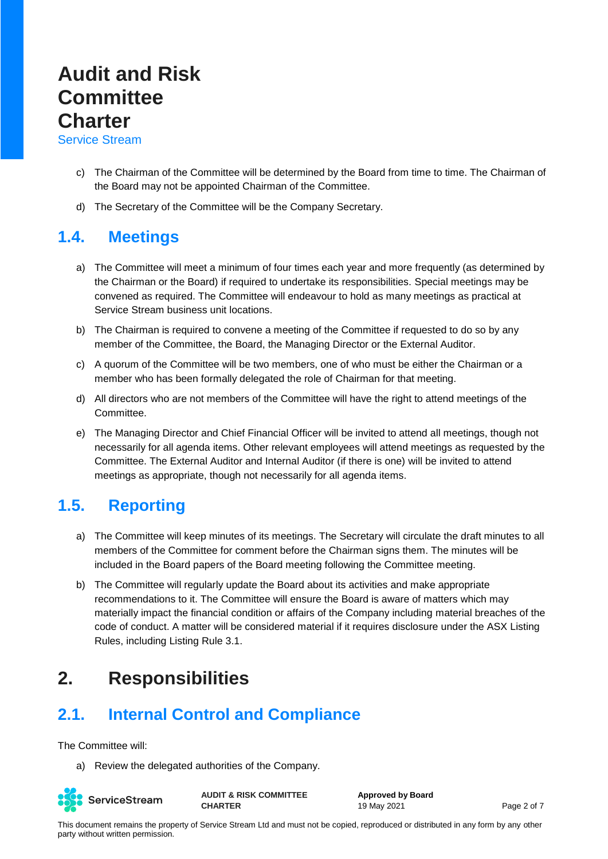Service Stream

- c) The Chairman of the Committee will be determined by the Board from time to time. The Chairman of the Board may not be appointed Chairman of the Committee.
- d) The Secretary of the Committee will be the Company Secretary.

#### **1.4. Meetings**

- a) The Committee will meet a minimum of four times each year and more frequently (as determined by the Chairman or the Board) if required to undertake its responsibilities. Special meetings may be convened as required. The Committee will endeavour to hold as many meetings as practical at Service Stream business unit locations.
- b) The Chairman is required to convene a meeting of the Committee if requested to do so by any member of the Committee, the Board, the Managing Director or the External Auditor.
- c) A quorum of the Committee will be two members, one of who must be either the Chairman or a member who has been formally delegated the role of Chairman for that meeting.
- d) All directors who are not members of the Committee will have the right to attend meetings of the Committee.
- e) The Managing Director and Chief Financial Officer will be invited to attend all meetings, though not necessarily for all agenda items. Other relevant employees will attend meetings as requested by the Committee. The External Auditor and Internal Auditor (if there is one) will be invited to attend meetings as appropriate, though not necessarily for all agenda items.

## **1.5. Reporting**

- a) The Committee will keep minutes of its meetings. The Secretary will circulate the draft minutes to all members of the Committee for comment before the Chairman signs them. The minutes will be included in the Board papers of the Board meeting following the Committee meeting.
- b) The Committee will regularly update the Board about its activities and make appropriate recommendations to it. The Committee will ensure the Board is aware of matters which may materially impact the financial condition or affairs of the Company including material breaches of the code of conduct. A matter will be considered material if it requires disclosure under the ASX Listing Rules, including Listing Rule 3.1.

# **2. Responsibilities**

## **2.1. Internal Control and Compliance**

The Committee will:

a) Review the delegated authorities of the Company.



**AUDIT & RISK COMMITTEE CHARTER**

**Approved by Board** 19 May 2021 **Page 2 of 7**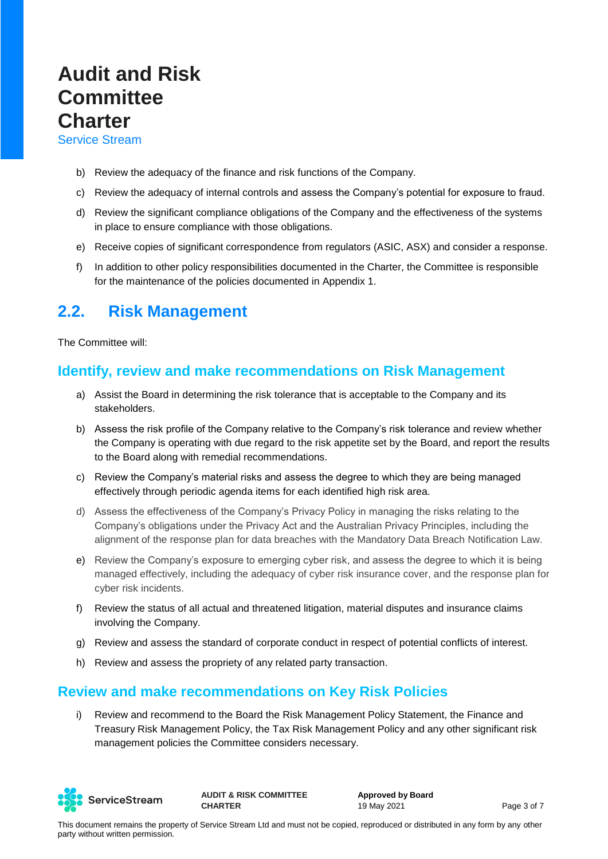Service Stream

- b) Review the adequacy of the finance and risk functions of the Company.
- c) Review the adequacy of internal controls and assess the Company's potential for exposure to fraud.
- d) Review the significant compliance obligations of the Company and the effectiveness of the systems in place to ensure compliance with those obligations.
- e) Receive copies of significant correspondence from regulators (ASIC, ASX) and consider a response.
- f) In addition to other policy responsibilities documented in the Charter, the Committee is responsible for the maintenance of the policies documented in Appendix 1.

#### **2.2. Risk Management**

The Committee will:

#### **Identify, review and make recommendations on Risk Management**

- a) Assist the Board in determining the risk tolerance that is acceptable to the Company and its stakeholders.
- b) Assess the risk profile of the Company relative to the Company's risk tolerance and review whether the Company is operating with due regard to the risk appetite set by the Board, and report the results to the Board along with remedial recommendations.
- c) Review the Company's material risks and assess the degree to which they are being managed effectively through periodic agenda items for each identified high risk area.
- d) Assess the effectiveness of the Company's Privacy Policy in managing the risks relating to the Company's obligations under the Privacy Act and the Australian Privacy Principles, including the alignment of the response plan for data breaches with the Mandatory Data Breach Notification Law.
- e) Review the Company's exposure to emerging cyber risk, and assess the degree to which it is being managed effectively, including the adequacy of cyber risk insurance cover, and the response plan for cyber risk incidents.
- f) Review the status of all actual and threatened litigation, material disputes and insurance claims involving the Company.
- g) Review and assess the standard of corporate conduct in respect of potential conflicts of interest.
- h) Review and assess the propriety of any related party transaction.

#### **Review and make recommendations on Key Risk Policies**

i) Review and recommend to the Board the Risk Management Policy Statement, the Finance and Treasury Risk Management Policy, the Tax Risk Management Policy and any other significant risk management policies the Committee considers necessary.



**AUDIT & RISK COMMITTEE CHARTER**

**Approved by Board** 19 May 2021 **Page 3 of 7**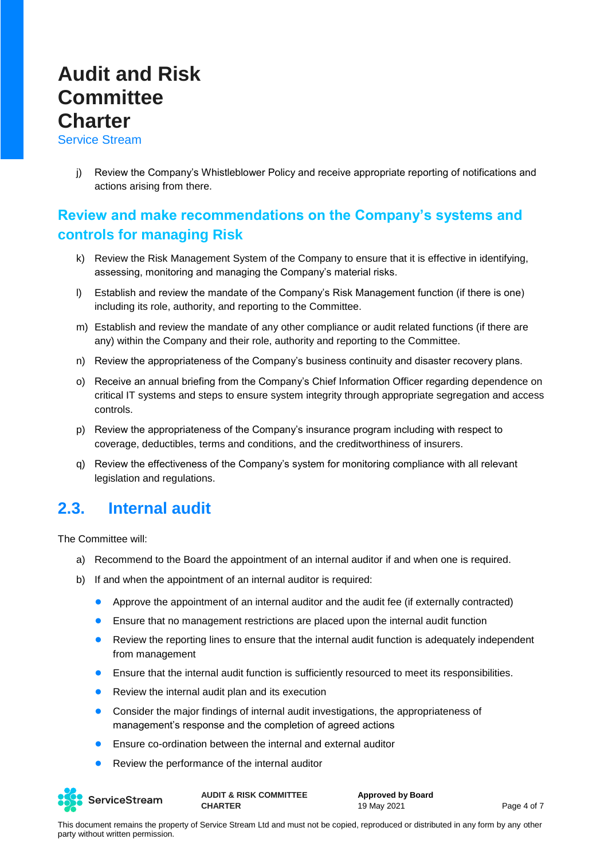Service Stream

j) Review the Company's Whistleblower Policy and receive appropriate reporting of notifications and actions arising from there.

#### **Review and make recommendations on the Company's systems and controls for managing Risk**

- k) Review the Risk Management System of the Company to ensure that it is effective in identifying, assessing, monitoring and managing the Company's material risks.
- l) Establish and review the mandate of the Company's Risk Management function (if there is one) including its role, authority, and reporting to the Committee.
- m) Establish and review the mandate of any other compliance or audit related functions (if there are any) within the Company and their role, authority and reporting to the Committee.
- n) Review the appropriateness of the Company's business continuity and disaster recovery plans.
- o) Receive an annual briefing from the Company's Chief Information Officer regarding dependence on critical IT systems and steps to ensure system integrity through appropriate segregation and access controls.
- p) Review the appropriateness of the Company's insurance program including with respect to coverage, deductibles, terms and conditions, and the creditworthiness of insurers.
- q) Review the effectiveness of the Company's system for monitoring compliance with all relevant legislation and regulations.

#### **2.3. Internal audit**

The Committee will:

- a) Recommend to the Board the appointment of an internal auditor if and when one is required.
- b) If and when the appointment of an internal auditor is required:
	- Approve the appointment of an internal auditor and the audit fee (if externally contracted)
	- Ensure that no management restrictions are placed upon the internal audit function
	- Review the reporting lines to ensure that the internal audit function is adequately independent from management
	- Ensure that the internal audit function is sufficiently resourced to meet its responsibilities.
	- Review the internal audit plan and its execution
	- Consider the major findings of internal audit investigations, the appropriateness of management's response and the completion of agreed actions
	- Ensure co-ordination between the internal and external auditor
	- Review the performance of the internal auditor



**AUDIT & RISK COMMITTEE CHARTER**

**Approved by Board** 19 May 2021 **Page 4 of 7**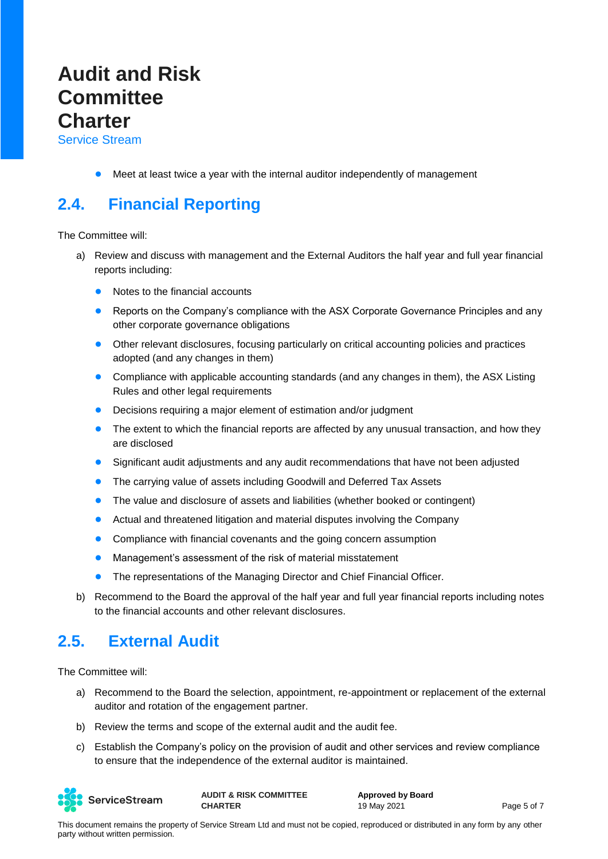Service Stream

● Meet at least twice a year with the internal auditor independently of management

### **2.4. Financial Reporting**

The Committee will:

- a) Review and discuss with management and the External Auditors the half year and full year financial reports including:
	- Notes to the financial accounts
	- Reports on the Company's compliance with the ASX Corporate Governance Principles and any other corporate governance obligations
	- Other relevant disclosures, focusing particularly on critical accounting policies and practices adopted (and any changes in them)
	- Compliance with applicable accounting standards (and any changes in them), the ASX Listing Rules and other legal requirements
	- Decisions requiring a major element of estimation and/or judgment
	- The extent to which the financial reports are affected by any unusual transaction, and how they are disclosed
	- Significant audit adjustments and any audit recommendations that have not been adjusted
	- The carrying value of assets including Goodwill and Deferred Tax Assets
	- The value and disclosure of assets and liabilities (whether booked or contingent)
	- Actual and threatened litigation and material disputes involving the Company
	- Compliance with financial covenants and the going concern assumption
	- Management's assessment of the risk of material misstatement
	- The representations of the Managing Director and Chief Financial Officer.
- b) Recommend to the Board the approval of the half year and full year financial reports including notes to the financial accounts and other relevant disclosures.

#### **2.5. External Audit**

The Committee will:

- a) Recommend to the Board the selection, appointment, re-appointment or replacement of the external auditor and rotation of the engagement partner.
- b) Review the terms and scope of the external audit and the audit fee.
- c) Establish the Company's policy on the provision of audit and other services and review compliance to ensure that the independence of the external auditor is maintained.



**AUDIT & RISK COMMITTEE CHARTER**

**Approved by Board** 19 May 2021 **Page 5 of 7**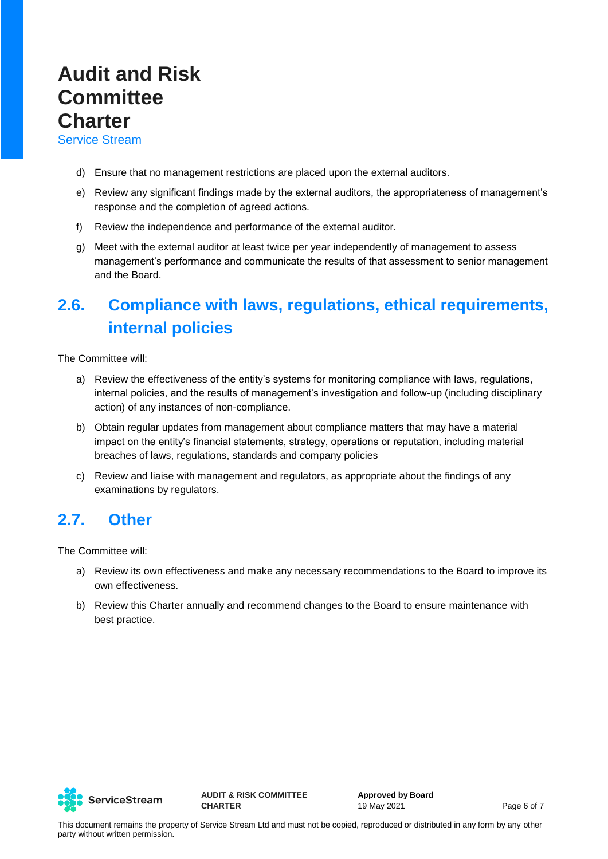Service Stream

- d) Ensure that no management restrictions are placed upon the external auditors.
- e) Review any significant findings made by the external auditors, the appropriateness of management's response and the completion of agreed actions.
- f) Review the independence and performance of the external auditor.
- g) Meet with the external auditor at least twice per year independently of management to assess management's performance and communicate the results of that assessment to senior management and the Board.

## **2.6. Compliance with laws, regulations, ethical requirements, internal policies**

The Committee will:

- a) Review the effectiveness of the entity's systems for monitoring compliance with laws, regulations, internal policies, and the results of management's investigation and follow-up (including disciplinary action) of any instances of non-compliance.
- b) Obtain regular updates from management about compliance matters that may have a material impact on the entity's financial statements, strategy, operations or reputation, including material breaches of laws, regulations, standards and company policies
- c) Review and liaise with management and regulators, as appropriate about the findings of any examinations by regulators.

### **2.7. Other**

The Committee will:

- a) Review its own effectiveness and make any necessary recommendations to the Board to improve its own effectiveness.
- b) Review this Charter annually and recommend changes to the Board to ensure maintenance with best practice.



**AUDIT & RISK COMMITTEE CHARTER**

**Approved by Board** 19 May 2021 **Page 6 of 7**